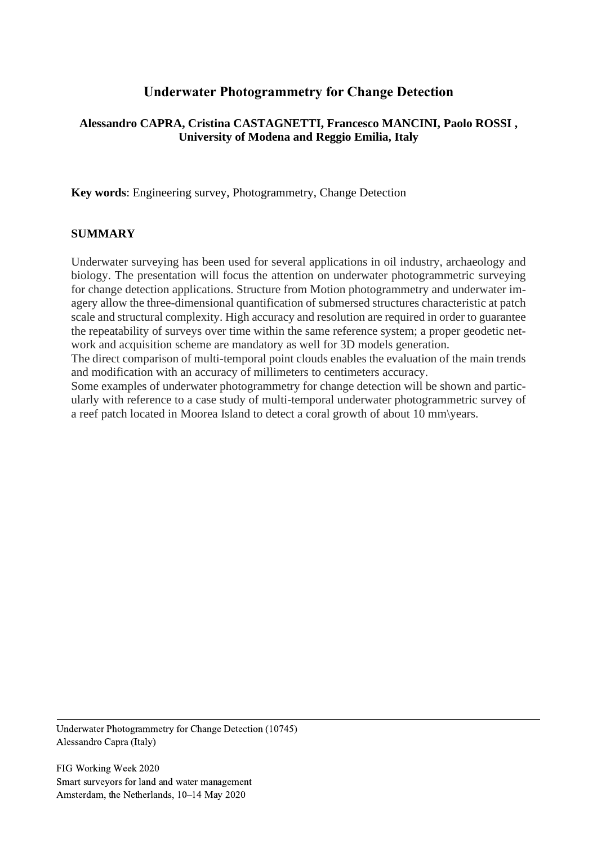# **Underwater Photogrammetry for Change Detection**

### **Alessandro CAPRA, Cristina CASTAGNETTI, Francesco MANCINI, Paolo ROSSI , University of Modena and Reggio Emilia, Italy**

**Key words**: Engineering survey, Photogrammetry, Change Detection

#### **SUMMARY**

Underwater surveying has been used for several applications in oil industry, archaeology and biology. The presentation will focus the attention on underwater photogrammetric surveying for change detection applications. Structure from Motion photogrammetry and underwater imagery allow the three-dimensional quantification of submersed structures characteristic at patch scale and structural complexity. High accuracy and resolution are required in order to guarantee the repeatability of surveys over time within the same reference system; a proper geodetic network and acquisition scheme are mandatory as well for 3D models generation.

The direct comparison of multi-temporal point clouds enables the evaluation of the main trends and modification with an accuracy of millimeters to centimeters accuracy.

Some examples of underwater photogrammetry for change detection will be shown and particularly with reference to a case study of multi-temporal underwater photogrammetric survey of a reef patch located in Moorea Island to detect a coral growth of about 10 mm\years.

Underwater Photogrammetry for Change Detection (10745) Alessandro Capra (Italy)

FIG Working Week 2020 Smart surveyors for land and water management Amsterdam, the Netherlands, 10–14 May 2020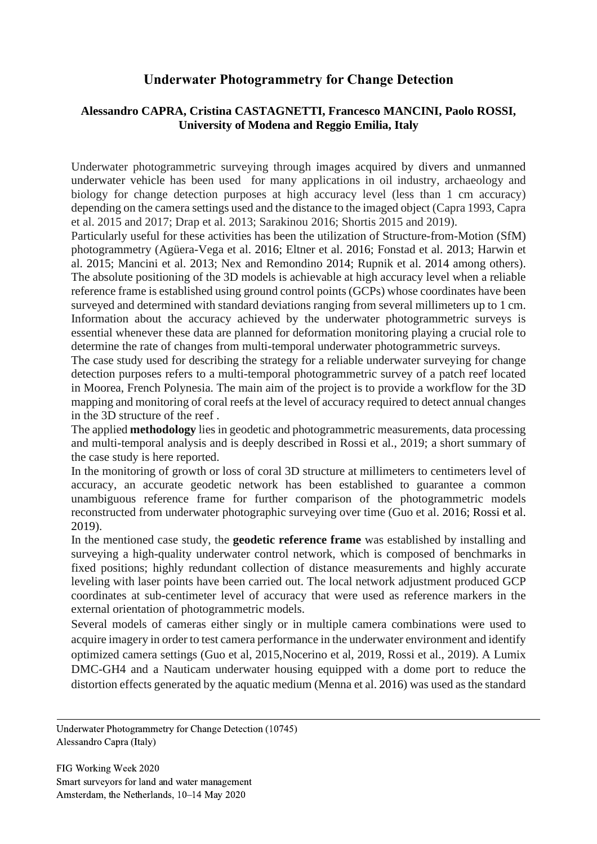## **Underwater Photogrammetry for Change Detection**

### **Alessandro CAPRA, Cristina CASTAGNETTI, Francesco MANCINI, Paolo ROSSI, University of Modena and Reggio Emilia, Italy**

Underwater photogrammetric surveying through images acquired by divers and unmanned underwater vehicle has been used for many applications in oil industry, archaeology and biology for change detection purposes at high accuracy level (less than 1 cm accuracy) depending on the camera settings used and the distance to the imaged object (Capra 1993, Capra et al. 2015 and 2017; Drap et al. 2013; Sarakinou 2016; Shortis 2015 and 2019).

Particularly useful for these activities has been the utilization of Structure-from-Motion (SfM) photogrammetry (Agüera-Vega et al. 2016; Eltner et al. 2016; Fonstad et al. 2013; Harwin et al. 2015; Mancini et al. 2013; Nex and Remondino 2014; Rupnik et al. 2014 among others). The absolute positioning of the 3D models is achievable at high accuracy level when a reliable reference frame is established using ground control points (GCPs) whose coordinates have been surveyed and determined with standard deviations ranging from several millimeters up to 1 cm. Information about the accuracy achieved by the underwater photogrammetric surveys is essential whenever these data are planned for deformation monitoring playing a crucial role to determine the rate of changes from multi-temporal underwater photogrammetric surveys.

The case study used for describing the strategy for a reliable underwater surveying for change detection purposes refers to a multi-temporal photogrammetric survey of a patch reef located in Moorea, French Polynesia. The main aim of the project is to provide a workflow for the 3D mapping and monitoring of coral reefs at the level of accuracy required to detect annual changes in the 3D structure of the reef .

The applied **methodology** lies in geodetic and photogrammetric measurements, data processing and multi-temporal analysis and is deeply described in Rossi et al., 2019; a short summary of the case study is here reported.

In the monitoring of growth or loss of coral 3D structure at millimeters to centimeters level of accuracy, an accurate geodetic network has been established to guarantee a common unambiguous reference frame for further comparison of the photogrammetric models reconstructed from underwater photographic surveying over time (Guo et al. 2016; Rossi et al. 2019).

In the mentioned case study, the **geodetic reference frame** was established by installing and surveying a high-quality underwater control network, which is composed of benchmarks in fixed positions; highly redundant collection of distance measurements and highly accurate leveling with laser points have been carried out. The local network adjustment produced GCP coordinates at sub-centimeter level of accuracy that were used as reference markers in the external orientation of photogrammetric models.

Several models of cameras either singly or in multiple camera combinations were used to acquire imagery in order to test camera performance in the underwater environment and identify optimized camera settings (Guo et al, 2015,Nocerino et al, 2019, Rossi et al., 2019). A Lumix DMC-GH4 and a Nauticam underwater housing equipped with a dome port to reduce the distortion effects generated by the aquatic medium (Menna et al. 2016) was used as the standard

Underwater Photogrammetry for Change Detection (10745) Alessandro Capra (Italy)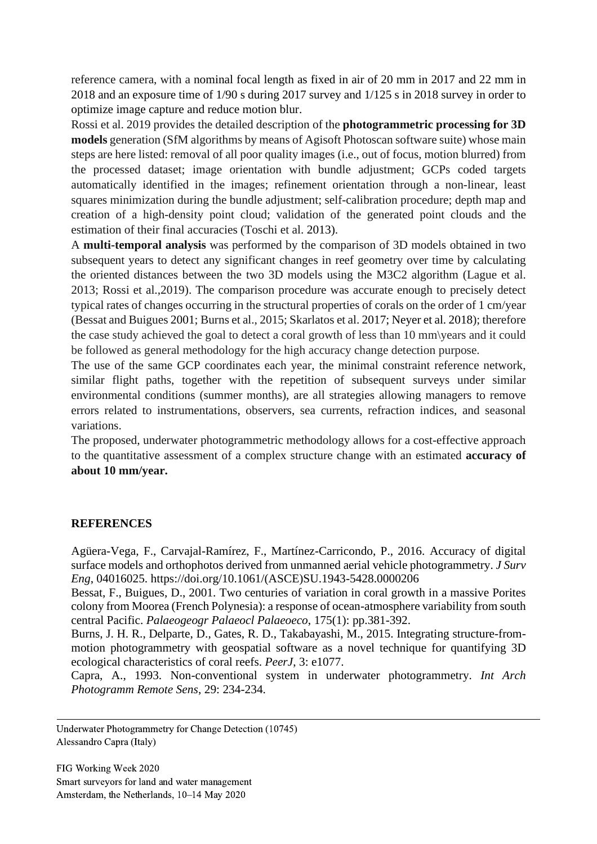reference camera, with a nominal focal length as fixed in air of 20 mm in 2017 and 22 mm in 2018 and an exposure time of 1/90 s during 2017 survey and 1/125 s in 2018 survey in order to optimize image capture and reduce motion blur.

Rossi et al. 2019 provides the detailed description of the **photogrammetric processing for 3D models** generation (SfM algorithms by means of Agisoft Photoscan software suite) whose main steps are here listed: removal of all poor quality images (i.e., out of focus, motion blurred) from the processed dataset; image orientation with bundle adjustment; GCPs coded targets automatically identified in the images; refinement orientation through a non-linear, least squares minimization during the bundle adjustment; self-calibration procedure; depth map and creation of a high-density point cloud; validation of the generated point clouds and the estimation of their final accuracies (Toschi et al. 2013).

A **multi-temporal analysis** was performed by the comparison of 3D models obtained in two subsequent years to detect any significant changes in reef geometry over time by calculating the oriented distances between the two 3D models using the M3C2 algorithm (Lague et al. 2013; Rossi et al.,2019). The comparison procedure was accurate enough to precisely detect typical rates of changes occurring in the structural properties of corals on the order of 1 cm/year (Bessat and Buigues 2001; Burns et al., 2015; Skarlatos et al. 2017; Neyer et al. 2018); therefore the case study achieved the goal to detect a coral growth of less than 10 mm\years and it could be followed as general methodology for the high accuracy change detection purpose.

The use of the same GCP coordinates each year, the minimal constraint reference network, similar flight paths, together with the repetition of subsequent surveys under similar environmental conditions (summer months), are all strategies allowing managers to remove errors related to instrumentations, observers, sea currents, refraction indices, and seasonal variations.

The proposed, underwater photogrammetric methodology allows for a cost-effective approach to the quantitative assessment of a complex structure change with an estimated **accuracy of about 10 mm/year.**

#### **REFERENCES**

Agüera-Vega, F., Carvajal-Ramírez, F., Martínez-Carricondo, P., 2016. Accuracy of digital surface models and orthophotos derived from unmanned aerial vehicle photogrammetry. *J Surv Eng*, 04016025. https://doi.org/10.1061/(ASCE)SU.1943-5428.0000206

Bessat, F., Buigues, D., 2001. Two centuries of variation in coral growth in a massive Porites colony from Moorea (French Polynesia): a response of ocean-atmosphere variability from south central Pacific. *Palaeogeogr Palaeocl Palaeoeco*, 175(1): pp.381-392.

Burns, J. H. R., Delparte, D., Gates, R. D., Takabayashi, M., 2015. Integrating structure-frommotion photogrammetry with geospatial software as a novel technique for quantifying 3D ecological characteristics of coral reefs. *PeerJ*, 3: e1077.

Capra, A., 1993. Non-conventional system in underwater photogrammetry. *Int Arch Photogramm Remote Sens*, 29: 234-234.

Underwater Photogrammetry for Change Detection (10745) Alessandro Capra (Italy)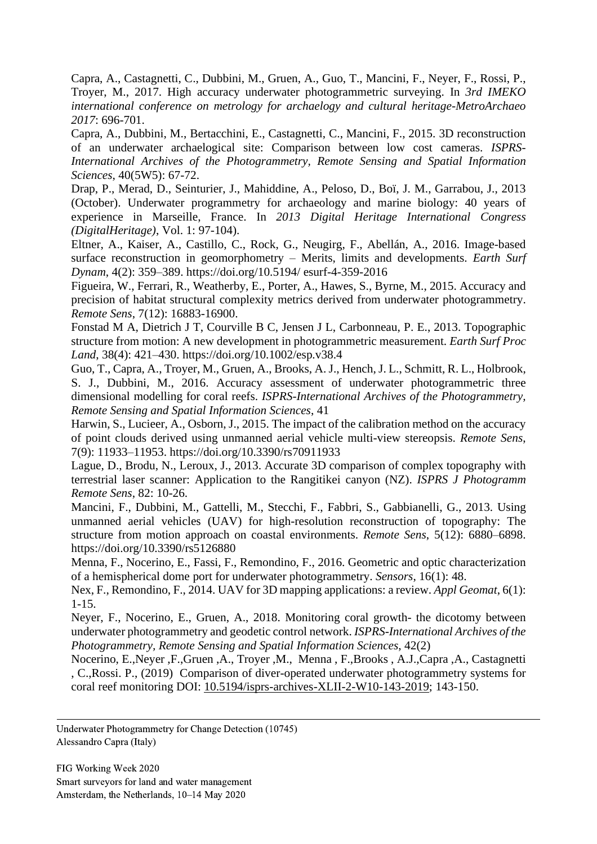Capra, A., Castagnetti, C., Dubbini, M., Gruen, A., Guo, T., Mancini, F., Neyer, F., Rossi, P., Troyer, M., 2017. High accuracy underwater photogrammetric surveying. In *3rd IMEKO international conference on metrology for archaelogy and cultural heritage-MetroArchaeo 2017*: 696-701.

Capra, A., Dubbini, M., Bertacchini, E., Castagnetti, C., Mancini, F., 2015. 3D reconstruction of an underwater archaelogical site: Comparison between low cost cameras. *ISPRS-International Archives of the Photogrammetry, Remote Sensing and Spatial Information Sciences*, 40(5W5): 67-72.

Drap, P., Merad, D., Seinturier, J., Mahiddine, A., Peloso, D., Boï, J. M., Garrabou, J., 2013 (October). Underwater programmetry for archaeology and marine biology: 40 years of experience in Marseille, France. In *2013 Digital Heritage International Congress (DigitalHeritage)*, Vol. 1: 97-104).

Eltner, A., Kaiser, A., Castillo, C., Rock, G., Neugirg, F., Abellán, A., 2016. Image-based surface reconstruction in geomorphometry – Merits, limits and developments. *Earth Surf Dynam*, 4(2): 359–389. https://doi.org/10.5194/ esurf-4-359-2016

Figueira, W., Ferrari, R., Weatherby, E., Porter, A., Hawes, S., Byrne, M., 2015. Accuracy and precision of habitat structural complexity metrics derived from underwater photogrammetry. *Remote Sens*, 7(12): 16883-16900.

Fonstad M A, Dietrich J T, Courville B C, Jensen J L, Carbonneau, P. E., 2013. Topographic structure from motion: A new development in photogrammetric measurement. *Earth Surf Proc Land*, 38(4): 421–430. https://doi.org/10.1002/esp.v38.4

Guo, T., Capra, A., Troyer, M., Gruen, A., Brooks, A. J., Hench, J. L., Schmitt, R. L., Holbrook, S. J., Dubbini, M., 2016. Accuracy assessment of underwater photogrammetric three dimensional modelling for coral reefs. *ISPRS-International Archives of the Photogrammetry, Remote Sensing and Spatial Information Sciences*, 41

Harwin, S., Lucieer, A., Osborn, J., 2015. The impact of the calibration method on the accuracy of point clouds derived using unmanned aerial vehicle multi-view stereopsis. *Remote Sens*, 7(9): 11933–11953. https://doi.org/10.3390/rs70911933

Lague, D., Brodu, N., Leroux, J., 2013. Accurate 3D comparison of complex topography with terrestrial laser scanner: Application to the Rangitikei canyon (NZ). *ISPRS J Photogramm Remote Sens*, 82: 10-26.

Mancini, F., Dubbini, M., Gattelli, M., Stecchi, F., Fabbri, S., Gabbianelli, G., 2013. Using unmanned aerial vehicles (UAV) for high-resolution reconstruction of topography: The structure from motion approach on coastal environments. *Remote Sens*, 5(12): 6880–6898. https://doi.org/10.3390/rs5126880

Menna, F., Nocerino, E., Fassi, F., Remondino, F., 2016. Geometric and optic characterization of a hemispherical dome port for underwater photogrammetry. *Sensors*, 16(1): 48.

Nex, F., Remondino, F., 2014. UAV for 3D mapping applications: a review. *Appl Geomat*, 6(1): 1-15.

Neyer, F., Nocerino, E., Gruen, A., 2018. Monitoring coral growth- the dicotomy between underwater photogrammetry and geodetic control network. *ISPRS-International Archives of the Photogrammetry, Remote Sensing and Spatial Information Sciences*, 42(2)

Nocerino, E.,Neyer ,F.,Gruen ,A., Troyer ,M., Menna , F.,Brooks , A.J.,Capra ,A., Castagnetti , C.,Rossi. P., (2019) Comparison of diver-operated underwater photogrammetry systems for coral reef monitoring DOI: [10.5194/isprs-archives-XLII-2-W10-143-2019;](https://www.researchgate.net/deref/http%25252525252525253A%25252525252525252F%25252525252525252Fdx.doi.org%25252525252525252F10.5194%25252525252525252Fisprs-archives-XLII-2-W10-143-2019?_sg%25252525252525255B0%25252525252525255D=YDRg8eXx-u9j5cu9e2UwVr4HaCEle0FHU9mjKu5-5zn_sOnaFFs0rtHOHPB0CCV1dlxSghX6cGtvgdpI0wHiP8iI3w.sNPwaSNZ8809ecJphR8R-uO98tYhcyVCoh-GytiR4ytmNrZpEUY4SfeE0YrQmwC78nR7vNqclJLEzgt75FJslg) 143-150.

Underwater Photogrammetry for Change Detection (10745) Alessandro Capra (Italy)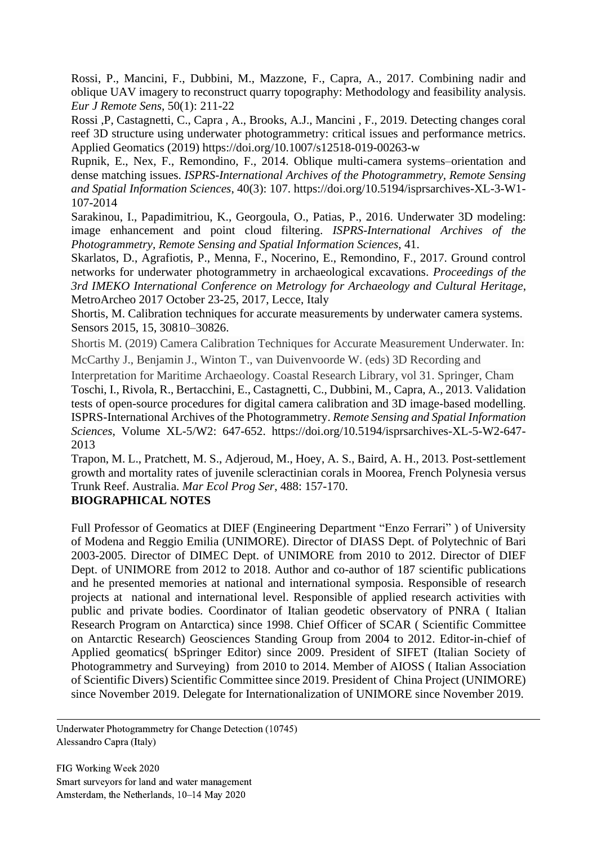Rossi, P., Mancini, F., Dubbini, M., Mazzone, F., Capra, A., 2017. Combining nadir and oblique UAV imagery to reconstruct quarry topography: Methodology and feasibility analysis. *Eur J Remote Sens*, 50(1): 211-22

Rossi ,P, Castagnetti, C., Capra , A., Brooks, A.J., Mancini , F., 2019. Detecting changes coral reef 3D structure using underwater photogrammetry: critical issues and performance metrics. Applied Geomatics (2019) https://doi.org/10.1007/s12518-019-00263-w

Rupnik, E., Nex, F., Remondino, F., 2014. Oblique multi-camera systems–orientation and dense matching issues. *ISPRS-International Archives of the Photogrammetry, Remote Sensing and Spatial Information Sciences*, 40(3): 107. https://doi.org/10.5194/isprsarchives-XL-3-W1- 107-2014

Sarakinou, I., Papadimitriou, K., Georgoula, O., Patias, P., 2016. Underwater 3D modeling: image enhancement and point cloud filtering. *ISPRS-International Archives of the Photogrammetry, Remote Sensing and Spatial Information Sciences*, 41.

Skarlatos, D., Agrafiotis, P., Menna, F., Nocerino, E., Remondino, F., 2017. Ground control networks for underwater photogrammetry in archaeological excavations. *Proceedings of the 3rd IMEKO International Conference on Metrology for Archaeology and Cultural Heritage*, MetroArcheo 2017 October 23-25, 2017, Lecce, Italy

Shortis, M. Calibration techniques for accurate measurements by underwater camera systems. Sensors 2015, 15, 30810–30826.

Shortis M. (2019) Camera Calibration Techniques for Accurate Measurement Underwater. In: McCarthy J., Benjamin J., Winton T., van Duivenvoorde W. (eds) 3D Recording and

Interpretation for Maritime Archaeology. Coastal Research Library, vol 31. Springer, Cham Toschi, I., Rivola, R., Bertacchini, E., Castagnetti, C., Dubbini, M., Capra, A., 2013. Validation tests of open-source procedures for digital camera calibration and 3D image-based modelling. ISPRS-International Archives of the Photogrammetry. *Remote Sensing and Spatial Information Sciences*, Volume XL-5/W2: 647-652. https://doi.org/10.5194/isprsarchives-XL-5-W2-647- 2013

Trapon, M. L., Pratchett, M. S., Adjeroud, M., Hoey, A. S., Baird, A. H., 2013. Post-settlement growth and mortality rates of juvenile scleractinian corals in Moorea, French Polynesia versus Trunk Reef. Australia. *Mar Ecol Prog Ser*, 488: 157-170.

#### **BIOGRAPHICAL NOTES**

Full Professor of Geomatics at DIEF (Engineering Department "Enzo Ferrari" ) of University of Modena and Reggio Emilia (UNIMORE). Director of DIASS Dept. of Polytechnic of Bari 2003-2005. Director of DIMEC Dept. of UNIMORE from 2010 to 2012. Director of DIEF Dept. of UNIMORE from 2012 to 2018. Author and co-author of 187 scientific publications and he presented memories at national and international symposia. Responsible of research projects at national and international level. Responsible of applied research activities with public and private bodies. Coordinator of Italian geodetic observatory of PNRA ( Italian Research Program on Antarctica) since 1998. Chief Officer of SCAR ( Scientific Committee on Antarctic Research) Geosciences Standing Group from 2004 to 2012. Editor-in-chief of Applied geomatics( bSpringer Editor) since 2009. President of SIFET (Italian Society of Photogrammetry and Surveying) from 2010 to 2014. Member of AIOSS ( Italian Association of Scientific Divers) Scientific Committee since 2019. President of China Project (UNIMORE) since November 2019. Delegate for Internationalization of UNIMORE since November 2019.

Underwater Photogrammetry for Change Detection (10745) Alessandro Capra (Italy)